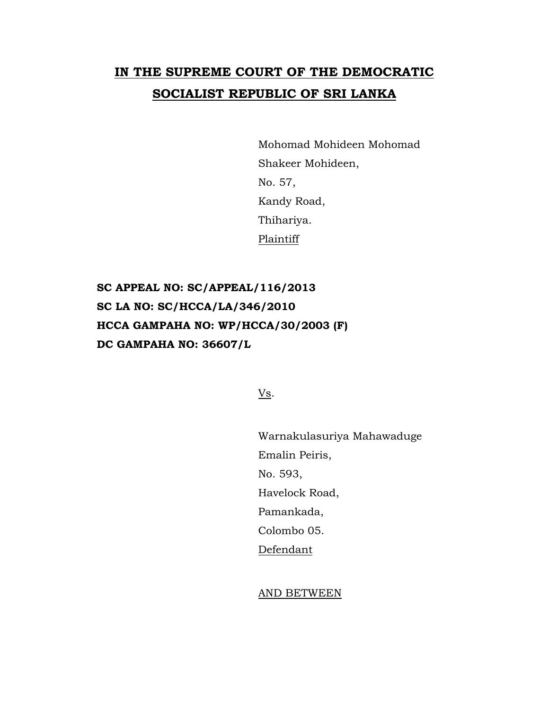## **IN THE SUPREME COURT OF THE DEMOCRATIC SOCIALIST REPUBLIC OF SRI LANKA**

Mohomad Mohideen Mohomad Shakeer Mohideen, No. 57, Kandy Road, Thihariya. Plaintiff

**SC APPEAL NO: SC/APPEAL/116/2013 SC LA NO: SC/HCCA/LA/346/2010 HCCA GAMPAHA NO: WP/HCCA/30/2003 (F) DC GAMPAHA NO: 36607/L**

Vs.

Warnakulasuriya Mahawaduge Emalin Peiris, No. 593, Havelock Road, Pamankada, Colombo 05. Defendant

AND BETWEEN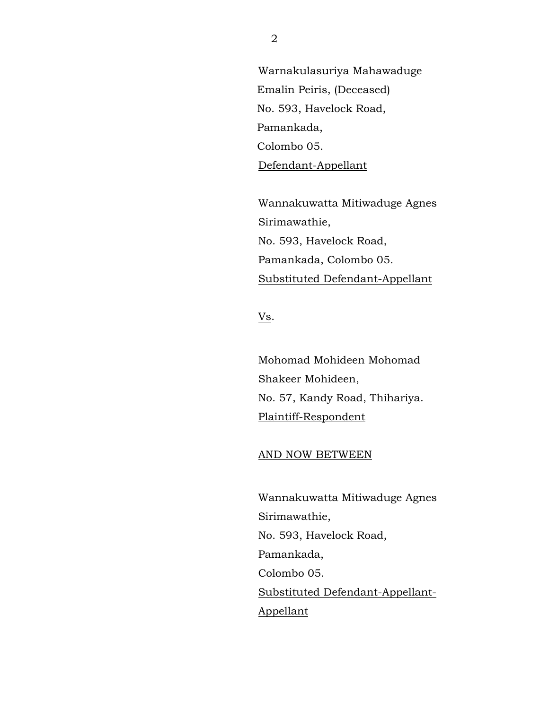Warnakulasuriya Mahawaduge Emalin Peiris, (Deceased) No. 593, Havelock Road, Pamankada, Colombo 05. Defendant-Appellant

Wannakuwatta Mitiwaduge Agnes Sirimawathie, No. 593, Havelock Road, Pamankada, Colombo 05. Substituted Defendant-Appellant

Vs.

Mohomad Mohideen Mohomad Shakeer Mohideen, No. 57, Kandy Road, Thihariya. Plaintiff-Respondent

## AND NOW BETWEEN

Wannakuwatta Mitiwaduge Agnes Sirimawathie, No. 593, Havelock Road, Pamankada, Colombo 05. Substituted Defendant-Appellant-Appellant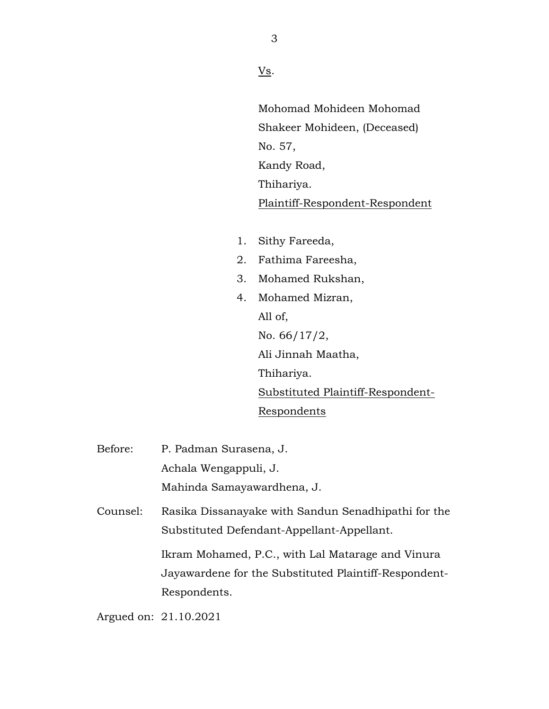Vs.

Mohomad Mohideen Mohomad Shakeer Mohideen, (Deceased) No. 57, Kandy Road, Thihariya. Plaintiff-Respondent-Respondent

- 1. Sithy Fareeda,
- 2. Fathima Fareesha,
- 3. Mohamed Rukshan,
- 4. Mohamed Mizran, All of, No. 66/17/2, Ali Jinnah Maatha, Thihariya. Substituted Plaintiff-Respondent-Respondents
- Before: P. Padman Surasena, J. Achala Wengappuli, J. Mahinda Samayawardhena, J.
- Counsel: Rasika Dissanayake with Sandun Senadhipathi for the Substituted Defendant-Appellant-Appellant.

Ikram Mohamed, P.C., with Lal Matarage and Vinura Jayawardene for the Substituted Plaintiff-Respondent-Respondents.

Argued on: 21.10.2021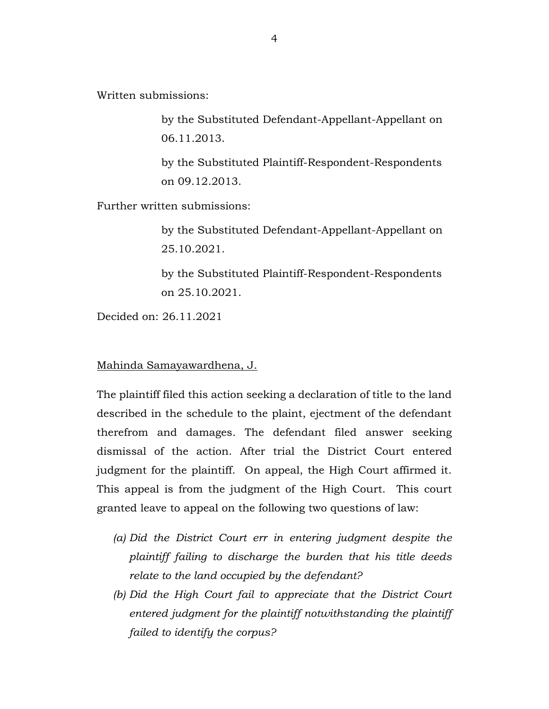Written submissions:

by the Substituted Defendant-Appellant-Appellant on 06.11.2013.

by the Substituted Plaintiff-Respondent-Respondents on 09.12.2013.

Further written submissions:

by the Substituted Defendant-Appellant-Appellant on 25.10.2021.

by the Substituted Plaintiff-Respondent-Respondents on 25.10.2021.

Decided on: 26.11.2021

Mahinda Samayawardhena, J.

The plaintiff filed this action seeking a declaration of title to the land described in the schedule to the plaint, ejectment of the defendant therefrom and damages. The defendant filed answer seeking dismissal of the action. After trial the District Court entered judgment for the plaintiff. On appeal, the High Court affirmed it. This appeal is from the judgment of the High Court. This court granted leave to appeal on the following two questions of law:

- *(a) Did the District Court err in entering judgment despite the plaintiff failing to discharge the burden that his title deeds relate to the land occupied by the defendant?*
- *(b) Did the High Court fail to appreciate that the District Court entered judgment for the plaintiff notwithstanding the plaintiff failed to identify the corpus?*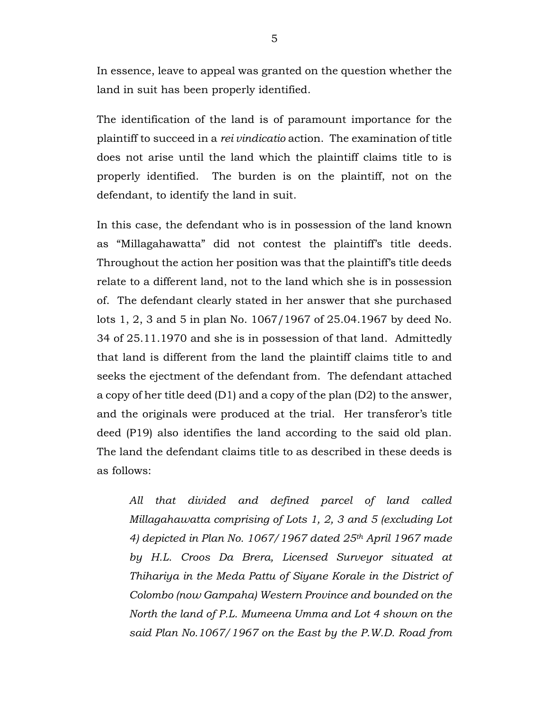In essence, leave to appeal was granted on the question whether the land in suit has been properly identified.

The identification of the land is of paramount importance for the plaintiff to succeed in a *rei vindicatio* action. The examination of title does not arise until the land which the plaintiff claims title to is properly identified. The burden is on the plaintiff, not on the defendant, to identify the land in suit.

In this case, the defendant who is in possession of the land known as "Millagahawatta" did not contest the plaintiff's title deeds. Throughout the action her position was that the plaintiff's title deeds relate to a different land, not to the land which she is in possession of. The defendant clearly stated in her answer that she purchased lots 1, 2, 3 and 5 in plan No. 1067/1967 of 25.04.1967 by deed No. 34 of 25.11.1970 and she is in possession of that land. Admittedly that land is different from the land the plaintiff claims title to and seeks the ejectment of the defendant from. The defendant attached a copy of her title deed (D1) and a copy of the plan (D2) to the answer, and the originals were produced at the trial. Her transferor's title deed (P19) also identifies the land according to the said old plan. The land the defendant claims title to as described in these deeds is as follows:

*All that divided and defined parcel of land called Millagahawatta comprising of Lots 1, 2, 3 and 5 (excluding Lot 4) depicted in Plan No. 1067/1967 dated 25th April 1967 made by H.L. Croos Da Brera, Licensed Surveyor situated at Thihariya in the Meda Pattu of Siyane Korale in the District of Colombo (now Gampaha) Western Province and bounded on the North the land of P.L. Mumeena Umma and Lot 4 shown on the said Plan No.1067/1967 on the East by the P.W.D. Road from*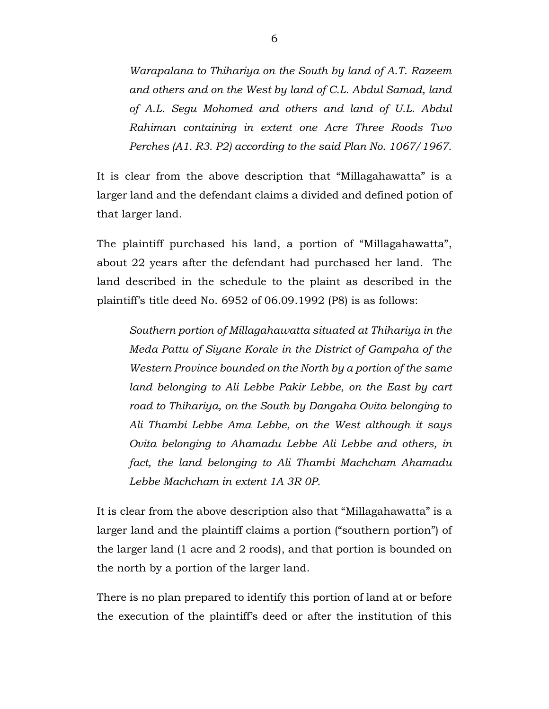*Warapalana to Thihariya on the South by land of A.T. Razeem and others and on the West by land of C.L. Abdul Samad, land of A.L. Segu Mohomed and others and land of U.L. Abdul Rahiman containing in extent one Acre Three Roods Two Perches (A1. R3. P2) according to the said Plan No. 1067/1967.*

It is clear from the above description that "Millagahawatta" is a larger land and the defendant claims a divided and defined potion of that larger land.

The plaintiff purchased his land, a portion of "Millagahawatta", about 22 years after the defendant had purchased her land. The land described in the schedule to the plaint as described in the plaintiff's title deed No. 6952 of 06.09.1992 (P8) is as follows:

*Southern portion of Millagahawatta situated at Thihariya in the Meda Pattu of Siyane Korale in the District of Gampaha of the Western Province bounded on the North by a portion of the same*  land belonging to Ali Lebbe Pakir Lebbe, on the East by cart *road to Thihariya, on the South by Dangaha Ovita belonging to Ali Thambi Lebbe Ama Lebbe, on the West although it says Ovita belonging to Ahamadu Lebbe Ali Lebbe and others, in fact, the land belonging to Ali Thambi Machcham Ahamadu Lebbe Machcham in extent 1A 3R 0P.*

It is clear from the above description also that "Millagahawatta" is a larger land and the plaintiff claims a portion ("southern portion") of the larger land (1 acre and 2 roods), and that portion is bounded on the north by a portion of the larger land.

There is no plan prepared to identify this portion of land at or before the execution of the plaintiff's deed or after the institution of this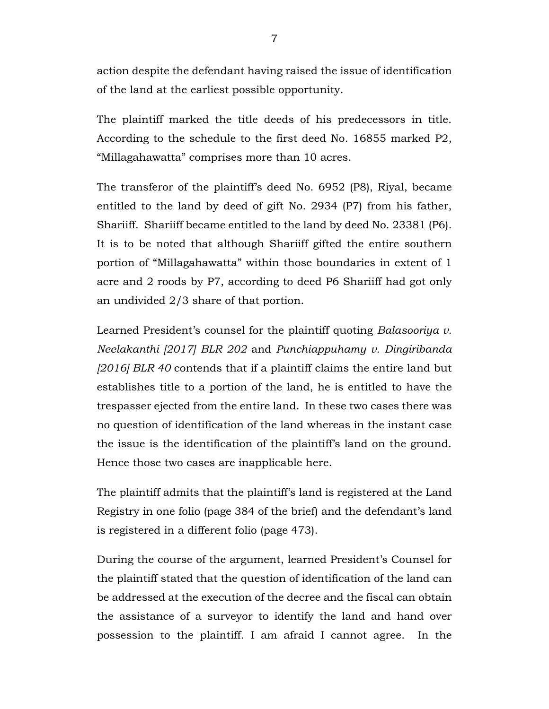action despite the defendant having raised the issue of identification of the land at the earliest possible opportunity.

The plaintiff marked the title deeds of his predecessors in title. According to the schedule to the first deed No. 16855 marked P2, "Millagahawatta" comprises more than 10 acres.

The transferor of the plaintiff's deed No. 6952 (P8), Riyal, became entitled to the land by deed of gift No. 2934 (P7) from his father, Shariiff. Shariiff became entitled to the land by deed No. 23381 (P6). It is to be noted that although Shariiff gifted the entire southern portion of "Millagahawatta" within those boundaries in extent of 1 acre and 2 roods by P7, according to deed P6 Shariiff had got only an undivided 2/3 share of that portion.

Learned President's counsel for the plaintiff quoting *Balasooriya v. Neelakanthi [2017] BLR 202* and *Punchiappuhamy v. Dingiribanda [2016] BLR 40* contends that if a plaintiff claims the entire land but establishes title to a portion of the land, he is entitled to have the trespasser ejected from the entire land. In these two cases there was no question of identification of the land whereas in the instant case the issue is the identification of the plaintiff's land on the ground. Hence those two cases are inapplicable here.

The plaintiff admits that the plaintiff's land is registered at the Land Registry in one folio (page 384 of the brief) and the defendant's land is registered in a different folio (page 473).

During the course of the argument, learned President's Counsel for the plaintiff stated that the question of identification of the land can be addressed at the execution of the decree and the fiscal can obtain the assistance of a surveyor to identify the land and hand over possession to the plaintiff. I am afraid I cannot agree. In the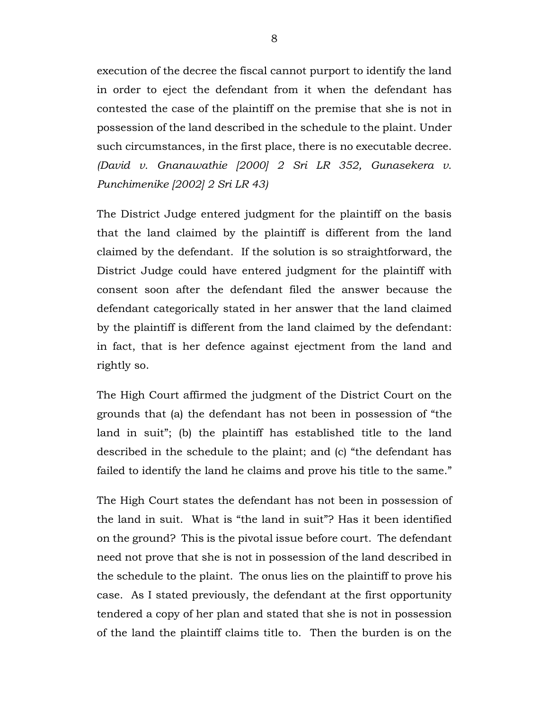execution of the decree the fiscal cannot purport to identify the land in order to eject the defendant from it when the defendant has contested the case of the plaintiff on the premise that she is not in possession of the land described in the schedule to the plaint. Under such circumstances, in the first place, there is no executable decree. *(David v. Gnanawathie [2000] 2 Sri LR 352, Gunasekera v. Punchimenike [2002] 2 Sri LR 43)* 

The District Judge entered judgment for the plaintiff on the basis that the land claimed by the plaintiff is different from the land claimed by the defendant. If the solution is so straightforward, the District Judge could have entered judgment for the plaintiff with consent soon after the defendant filed the answer because the defendant categorically stated in her answer that the land claimed by the plaintiff is different from the land claimed by the defendant: in fact, that is her defence against ejectment from the land and rightly so.

The High Court affirmed the judgment of the District Court on the grounds that (a) the defendant has not been in possession of "the land in suit"; (b) the plaintiff has established title to the land described in the schedule to the plaint; and (c) "the defendant has failed to identify the land he claims and prove his title to the same."

The High Court states the defendant has not been in possession of the land in suit. What is "the land in suit"? Has it been identified on the ground? This is the pivotal issue before court. The defendant need not prove that she is not in possession of the land described in the schedule to the plaint. The onus lies on the plaintiff to prove his case. As I stated previously, the defendant at the first opportunity tendered a copy of her plan and stated that she is not in possession of the land the plaintiff claims title to. Then the burden is on the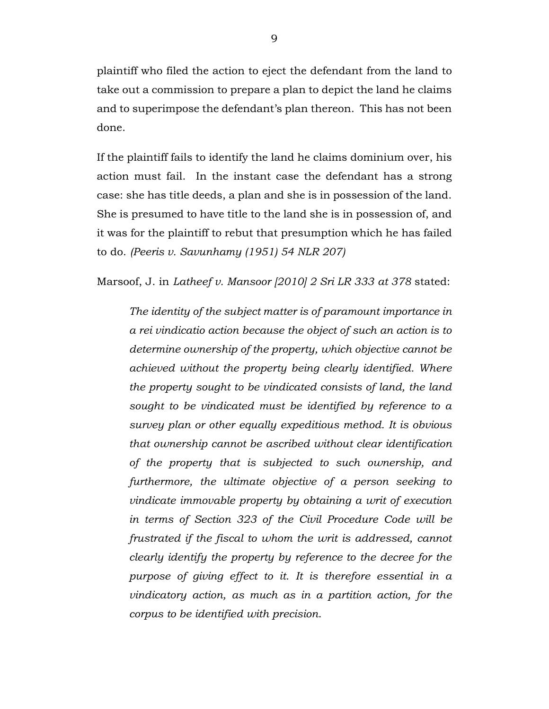plaintiff who filed the action to eject the defendant from the land to take out a commission to prepare a plan to depict the land he claims and to superimpose the defendant's plan thereon. This has not been done.

If the plaintiff fails to identify the land he claims dominium over, his action must fail. In the instant case the defendant has a strong case: she has title deeds, a plan and she is in possession of the land. She is presumed to have title to the land she is in possession of, and it was for the plaintiff to rebut that presumption which he has failed to do. *(Peeris v. Savunhamy (1951) 54 NLR 207)*

Marsoof, J. in *Latheef v. Mansoor [2010] 2 Sri LR 333 at 378* stated:

*The identity of the subject matter is of paramount importance in a rei vindicatio action because the object of such an action is to determine ownership of the property, which objective cannot be achieved without the property being clearly identified. Where the property sought to be vindicated consists of land, the land sought to be vindicated must be identified by reference to a survey plan or other equally expeditious method. It is obvious that ownership cannot be ascribed without clear identification of the property that is subjected to such ownership, and furthermore, the ultimate objective of a person seeking to vindicate immovable property by obtaining a writ of execution in terms of Section 323 of the Civil Procedure Code will be frustrated if the fiscal to whom the writ is addressed, cannot clearly identify the property by reference to the decree for the purpose of giving effect to it. It is therefore essential in a vindicatory action, as much as in a partition action, for the corpus to be identified with precision*.